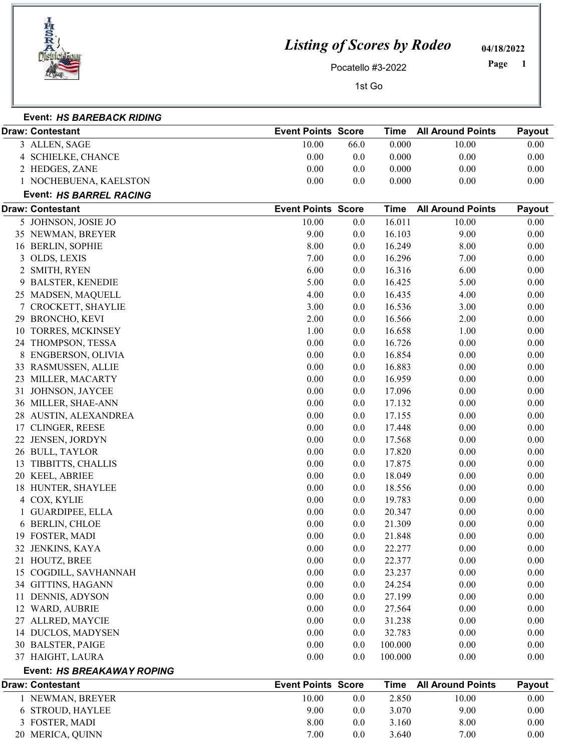

Event: HS BAREBACK RIDING

## Listing of Scores by Rodeo

04/18/2022

Pocatello #3-2022

1 Page

| 1st Go |
|--------|
|--------|

| י | ı<br>۰,<br>× |  |
|---|--------------|--|
|   |              |  |

|    | Draw: Contestant               | <b>Event Points Score</b> |      | <b>Time</b> | <b>All Around Points</b> | Payout |
|----|--------------------------------|---------------------------|------|-------------|--------------------------|--------|
|    | 3 ALLEN, SAGE                  | 10.00                     | 66.0 | 0.000       | 10.00                    | 0.00   |
|    | 4 SCHIELKE, CHANCE             | 0.00                      | 0.0  | 0.000       | 0.00                     | 0.00   |
|    | 2 HEDGES, ZANE                 | 0.00                      | 0.0  | 0.000       | 0.00                     | 0.00   |
|    | 1 NOCHEBUENA, KAELSTON         | 0.00                      | 0.0  | 0.000       | 0.00                     | 0.00   |
|    | <b>Event: HS BARREL RACING</b> |                           |      |             |                          |        |
|    | <b>Draw: Contestant</b>        | <b>Event Points Score</b> |      | <b>Time</b> | <b>All Around Points</b> | Payout |
|    | 5 JOHNSON, JOSIE JO            | 10.00                     | 0.0  | 16.011      | 10.00                    | 0.00   |
|    | 35 NEWMAN, BREYER              | 9.00                      | 0.0  | 16.103      | 9.00                     | 0.00   |
|    | 16 BERLIN, SOPHIE              | 8.00                      | 0.0  | 16.249      | 8.00                     | 0.00   |
|    | 3 OLDS, LEXIS                  | 7.00                      | 0.0  | 16.296      | 7.00                     | 0.00   |
|    | 2 SMITH, RYEN                  | 6.00                      | 0.0  | 16.316      | 6.00                     | 0.00   |
|    | 9 BALSTER, KENEDIE             | 5.00                      | 0.0  | 16.425      | 5.00                     | 0.00   |
|    | 25 MADSEN, MAQUELL             | 4.00                      | 0.0  | 16.435      | 4.00                     | 0.00   |
|    | 7 CROCKETT, SHAYLIE            | 3.00                      | 0.0  | 16.536      | 3.00                     | 0.00   |
|    | 29 BRONCHO, KEVI               | 2.00                      | 0.0  | 16.566      | 2.00                     | 0.00   |
|    | 10 TORRES, MCKINSEY            | 1.00                      | 0.0  | 16.658      | 1.00                     | 0.00   |
|    | 24 THOMPSON, TESSA             | 0.00                      | 0.0  | 16.726      | 0.00                     | 0.00   |
|    | 8 ENGBERSON, OLIVIA            | 0.00                      | 0.0  | 16.854      | 0.00                     | 0.00   |
|    | 33 RASMUSSEN, ALLIE            | 0.00                      | 0.0  | 16.883      | 0.00                     | 0.00   |
| 23 | MILLER, MACARTY                | 0.00                      | 0.0  | 16.959      | 0.00                     | 0.00   |
| 31 | JOHNSON, JAYCEE                | 0.00                      | 0.0  | 17.096      | 0.00                     | 0.00   |
|    |                                | 0.00                      | 0.0  | 17.132      | 0.00                     | 0.00   |
|    | 36 MILLER, SHAE-ANN            | 0.00                      |      |             | 0.00                     |        |
|    | 28 AUSTIN, ALEXANDREA          |                           | 0.0  | 17.155      |                          | 0.00   |
| 17 | <b>CLINGER, REESE</b>          | 0.00                      | 0.0  | 17.448      | 0.00                     | 0.00   |
| 22 | JENSEN, JORDYN                 | 0.00                      | 0.0  | 17.568      | 0.00                     | 0.00   |
|    | 26 BULL, TAYLOR                | 0.00                      | 0.0  | 17.820      | 0.00                     | 0.00   |
| 13 | TIBBITTS, CHALLIS              | 0.00                      | 0.0  | 17.875      | 0.00                     | 0.00   |
|    | 20 KEEL, ABRIEE                | 0.00                      | 0.0  | 18.049      | 0.00                     | 0.00   |
|    | 18 HUNTER, SHAYLEE             | 0.00                      | 0.0  | 18.556      | 0.00                     | 0.00   |
|    | 4 COX, KYLIE                   | 0.00                      | 0.0  | 19.783      | 0.00                     | 0.00   |
|    | 1 GUARDIPEE, ELLA              | 0.00                      | 0.0  | 20.347      | 0.00                     | 0.00   |
|    | 6 BERLIN, CHLOE                | 0.00                      | 0.0  | 21.309      | 0.00                     | 0.00   |
|    | 19 FOSTER, MADI                | 0.00                      | 0.0  | 21.848      | 0.00                     | 0.00   |
|    | 32 JENKINS, KAYA               | 0.00                      | 0.0  | 22.277      | 0.00                     | 0.00   |
|    | 21 HOUTZ, BREE                 | 0.00                      | 0.0  | 22.377      | 0.00                     | 0.00   |
|    | 15 COGDILL, SAVHANNAH          | $0.00\,$                  | 0.0  | 23.237      | 0.00                     | 0.00   |
|    | 34 GITTINS, HAGANN             | 0.00                      | 0.0  | 24.254      | 0.00                     | 0.00   |
|    | 11 DENNIS, ADYSON              | 0.00                      | 0.0  | 27.199      | 0.00                     | 0.00   |
|    | 12 WARD, AUBRIE                | 0.00                      | 0.0  | 27.564      | 0.00                     | 0.00   |
|    | 27 ALLRED, MAYCIE              | 0.00                      | 0.0  | 31.238      | 0.00                     | 0.00   |
|    | 14 DUCLOS, MADYSEN             | 0.00                      | 0.0  | 32.783      | 0.00                     | 0.00   |
|    | 30 BALSTER, PAIGE              | 0.00                      | 0.0  | 100.000     | 0.00                     | 0.00   |
|    | 37 HAIGHT, LAURA               | 0.00                      | 0.0  | 100.000     | 0.00                     | 0.00   |
|    | Event: HS BREAKAWAY ROPING     |                           |      |             |                          |        |
|    | <b>Draw: Contestant</b>        | <b>Event Points Score</b> |      | <b>Time</b> | <b>All Around Points</b> | Payout |
|    | 1 NEWMAN, BREYER               | 10.00                     | 0.0  | 2.850       | 10.00                    | 0.00   |
|    | 6 STROUD, HAYLEE               | 9.00                      | 0.0  | 3.070       | 9.00                     | 0.00   |
|    | 3 FOSTER, MADI                 | 8.00                      | 0.0  | 3.160       | 8.00                     | 0.00   |
|    | 20 MERICA, QUINN               | 7.00                      | 0.0  | 3.640       | 7.00                     | 0.00   |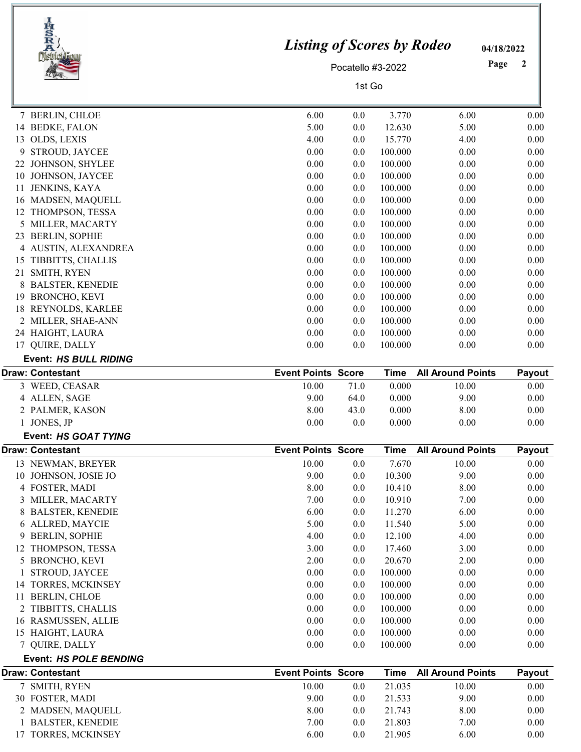|    | <b>I独SRA</b><br><b>District Lou</b>       | <b>Listing of Scores by Rodeo</b> | Pocatello #3-2022<br>1st Go |                    | Page                     | 04/18/2022<br>2 |
|----|-------------------------------------------|-----------------------------------|-----------------------------|--------------------|--------------------------|-----------------|
|    | 7 BERLIN, CHLOE                           | 6.00                              | 0.0                         | 3.770              | 6.00                     | 0.00            |
|    | 14 BEDKE, FALON                           | 5.00                              | 0.0                         | 12.630             | 5.00                     | 0.00            |
|    | 13 OLDS, LEXIS                            | 4.00                              | 0.0                         | 15.770             | 4.00                     | 0.00            |
| 9  | STROUD, JAYCEE                            | 0.00                              | 0.0                         | 100.000            | 0.00                     | 0.00            |
|    | 22 JOHNSON, SHYLEE                        | 0.00                              | 0.0                         | 100.000            | 0.00                     | 0.00            |
|    | 10 JOHNSON, JAYCEE                        | 0.00                              | 0.0                         | 100.000            | 0.00                     | 0.00            |
|    | 11 JENKINS, KAYA                          | 0.00                              | 0.0                         | 100.000            | 0.00                     | 0.00            |
|    | 16 MADSEN, MAQUELL                        | 0.00                              | 0.0                         | 100.000            | 0.00                     | 0.00            |
| 12 | THOMPSON, TESSA                           | 0.00                              | 0.0                         | 100.000            | 0.00                     | 0.00            |
|    | 5 MILLER, MACARTY                         | 0.00                              | 0.0                         | 100.000            | 0.00                     | 0.00            |
|    | 23 BERLIN, SOPHIE                         | 0.00                              | 0.0                         | 100.000            | 0.00                     | 0.00            |
|    | 4 AUSTIN, ALEXANDREA                      | 0.00                              | 0.0                         | 100.000            | 0.00                     | 0.00            |
| 15 | TIBBITTS, CHALLIS                         | 0.00                              | 0.0                         | 100.000            | 0.00                     | 0.00            |
| 21 | SMITH, RYEN                               | 0.00                              | $0.0\,$                     | 100.000            | 0.00                     | 0.00            |
|    | 8 BALSTER, KENEDIE                        | 0.00                              | 0.0                         | 100.000            | 0.00                     | 0.00            |
|    | 19 BRONCHO, KEVI                          | 0.00<br>0.00                      | 0.0                         | 100.000<br>100.000 | 0.00<br>0.00             | 0.00            |
|    | 18 REYNOLDS, KARLEE<br>2 MILLER, SHAE-ANN | 0.00                              | 0.0<br>0.0                  | 100.000            | 0.00                     | 0.00            |
|    | 24 HAIGHT, LAURA                          |                                   | 0.0                         | 100.000            | 0.00                     | 0.00            |
|    | 17 QUIRE, DALLY                           | 0.00<br>0.00                      | 0.0                         | 100.000            | 0.00                     | 0.00<br>0.00    |
|    | Event: HS BULL RIDING                     |                                   |                             |                    |                          |                 |
|    | <b>Draw: Contestant</b>                   | <b>Event Points Score</b>         |                             | <b>Time</b>        | <b>All Around Points</b> | Payout          |
|    | 3 WEED, CEASAR                            | 10.00                             | 71.0                        | 0.000              | 10.00                    | 0.00            |
|    | 4 ALLEN, SAGE                             | 9.00                              | 64.0                        | 0.000              | 9.00                     | 0.00            |
|    | 2 PALMER, KASON                           | 8.00                              | 43.0                        | 0.000              | 8.00                     | 0.00            |
|    | 1 JONES, JP                               | 0.00                              | 0.0                         | 0.000              | 0.00                     | 0.00            |
|    | Event: HS GOAT TYING                      |                                   |                             |                    |                          |                 |
|    | <b>Draw: Contestant</b>                   | <b>Event Points Score</b>         |                             | <b>Time</b>        | <b>All Around Points</b> | Payout          |
|    | 13 NEWMAN, BREYER                         | 10.00                             | 0.0                         | 7.670              | 10.00                    | 0.00            |
|    | 10 JOHNSON, JOSIE JO                      | 9.00                              | 0.0                         | 10.300             | 9.00                     | 0.00            |
|    | 4 FOSTER, MADI                            | 8.00                              | 0.0                         | 10.410             | 8.00                     | 0.00            |
|    | 3 MILLER, MACARTY                         | 7.00                              | 0.0                         | 10.910             | 7.00                     | 0.00            |
|    | 8 BALSTER, KENEDIE                        | 6.00                              | 0.0                         | 11.270             | 6.00                     | 0.00            |
|    | 6 ALLRED, MAYCIE                          | 5.00                              | 0.0                         | 11.540             | 5.00                     | 0.00            |
|    | 9 BERLIN, SOPHIE                          | 4.00                              | $0.0\,$                     | 12.100             | 4.00                     | 0.00            |
|    | 12 THOMPSON, TESSA                        | 3.00                              | 0.0                         | 17.460             | 3.00                     | 0.00            |
|    | 5 BRONCHO, KEVI                           | 2.00                              | 0.0                         | 20.670             | 2.00                     | 0.00            |
|    | STROUD, JAYCEE                            | 0.00                              | 0.0                         | 100.000            | 0.00                     | 0.00            |
|    | 14 TORRES, MCKINSEY                       | 0.00                              | 0.0                         | 100.000            | 0.00                     | 0.00            |
|    | 11 BERLIN, CHLOE                          | 0.00                              | 0.0                         | 100.000            | 0.00                     | 0.00            |
|    | 2 TIBBITTS, CHALLIS                       | 0.00                              | 0.0                         | 100.000            | 0.00                     | 0.00            |
|    | 16 RASMUSSEN, ALLIE                       | 0.00                              | 0.0                         | 100.000            | 0.00                     | 0.00            |
|    | 15 HAIGHT, LAURA                          | 0.00                              | 0.0                         | 100.000            | 0.00                     | 0.00            |
|    | 7 QUIRE, DALLY                            | 0.00                              | 0.0                         | 100.000            | $0.00\,$                 | 0.00            |
|    | <b>Event: HS POLE BENDING</b>             |                                   |                             |                    |                          |                 |
|    | <b>Draw: Contestant</b>                   | <b>Event Points Score</b>         |                             | <b>Time</b>        | <b>All Around Points</b> | Payout          |
|    | 7 SMITH, RYEN                             | 10.00                             | 0.0                         | 21.035             | 10.00                    | 0.00            |
|    | 30 FOSTER, MADI                           | 9.00                              | 0.0                         | 21.533             | 9.00                     | 0.00            |
|    | 2 MADSEN, MAQUELL                         | 8.00                              | 0.0                         | 21.743             | 8.00                     | 0.00            |
|    | 1 BALSTER, KENEDIE                        | 7.00                              | 0.0                         | 21.803             | 7.00                     | 0.00            |
|    | 17 TORRES, MCKINSEY                       | 6.00                              | 0.0                         | 21.905             | 6.00                     | 0.00            |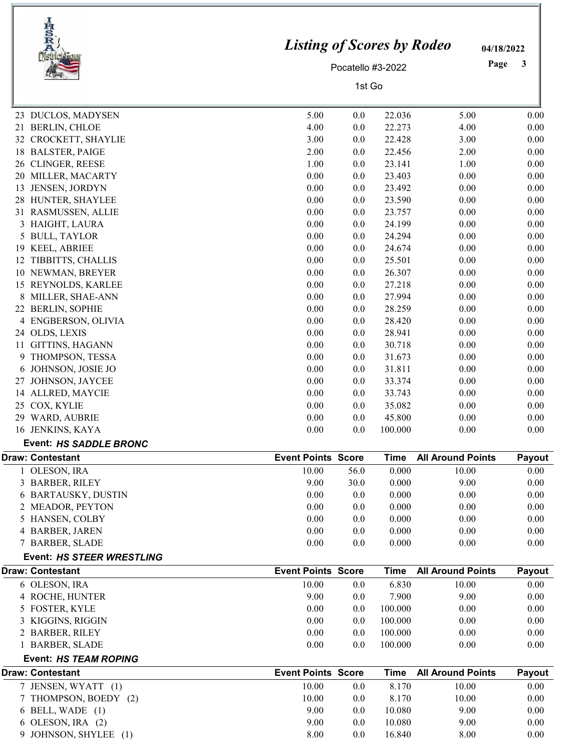|    | IHSRA                                                    | <b>Listing of Scores by Rodeo</b> |                   |             |                          | 04/18/2022 |
|----|----------------------------------------------------------|-----------------------------------|-------------------|-------------|--------------------------|------------|
|    |                                                          |                                   | Pocatello #3-2022 |             |                          | Page<br>3  |
|    |                                                          |                                   | 1st Go            |             |                          |            |
|    |                                                          |                                   |                   |             |                          |            |
|    | 23 DUCLOS, MADYSEN                                       | 5.00                              | 0.0               | 22.036      | 5.00                     | 0.00       |
|    | 21 BERLIN, CHLOE                                         | 4.00                              | 0.0               | 22.273      | 4.00                     | 0.00       |
| 32 | CROCKETT, SHAYLIE                                        | 3.00                              | 0.0               | 22.428      | 3.00                     | 0.00       |
| 18 | <b>BALSTER, PAIGE</b>                                    | 2.00                              | 0.0               | 22.456      | 2.00                     | 0.00       |
| 26 | <b>CLINGER, REESE</b>                                    | 1.00                              | 0.0               | 23.141      | 1.00                     | 0.00       |
|    | 20 MILLER, MACARTY                                       | 0.00                              | 0.0               | 23.403      | 0.00                     | 0.00       |
| 13 | JENSEN, JORDYN                                           | 0.00                              | 0.0               | 23.492      | 0.00                     | 0.00       |
| 28 | HUNTER, SHAYLEE                                          | 0.00                              | 0.0               | 23.590      | 0.00                     | 0.00       |
|    | 31 RASMUSSEN, ALLIE                                      | 0.00                              | 0.0               | 23.757      | 0.00                     | 0.00       |
|    | 3 HAIGHT, LAURA                                          | 0.00                              | 0.0               | 24.199      | 0.00                     | 0.00       |
|    | 5 BULL, TAYLOR                                           | 0.00                              | 0.0               | 24.294      | 0.00                     | 0.00       |
|    | 19 KEEL, ABRIEE                                          | 0.00                              | 0.0               | 24.674      | 0.00                     | 0.00       |
| 12 | TIBBITTS, CHALLIS                                        | 0.00                              | 0.0               | 25.501      | 0.00                     | 0.00       |
|    | 10 NEWMAN, BREYER                                        | 0.00                              | 0.0               | 26.307      | 0.00                     | 0.00       |
|    | 15 REYNOLDS, KARLEE                                      | 0.00                              | 0.0               | 27.218      | 0.00                     | 0.00       |
|    | MILLER, SHAE-ANN<br>8                                    | 0.00                              | 0.0               | 27.994      | 0.00                     | 0.00       |
| 22 | <b>BERLIN, SOPHIE</b>                                    | 0.00                              | 0.0               | 28.259      | 0.00                     | 0.00       |
|    | 4 ENGBERSON, OLIVIA                                      | 0.00                              | 0.0               | 28.420      | 0.00                     | 0.00       |
|    | 24 OLDS, LEXIS                                           | 0.00                              | 0.0               | 28.941      | 0.00                     | 0.00       |
| 11 | GITTINS, HAGANN                                          | 0.00                              | 0.0               | 30.718      | 0.00                     | 0.00       |
|    | 9<br>THOMPSON, TESSA                                     | 0.00                              | 0.0               | 31.673      | 0.00                     | 0.00       |
|    | JOHNSON, JOSIE JO<br>6                                   | 0.00                              | 0.0               | 31.811      | 0.00                     | 0.00       |
|    | 27 JOHNSON, JAYCEE                                       | 0.00                              | 0.0               | 33.374      | 0.00                     | 0.00       |
|    |                                                          | 0.00                              | 0.0               | 33.743      | 0.00                     | 0.00       |
|    | 14 ALLRED, MAYCIE                                        | 0.00                              |                   | 35.082      | 0.00                     |            |
| 29 | 25 COX, KYLIE                                            | 0.00                              | 0.0               | 45.800      | 0.00                     | 0.00       |
|    | WARD, AUBRIE<br>16 JENKINS, KAYA                         |                                   | 0.0               |             | 0.00                     | 0.00       |
|    |                                                          | 0.00                              | 0.0               | 100.000     |                          | 0.00       |
|    | <b>Event: HS SADDLE BRONC</b><br><b>Draw: Contestant</b> | <b>Event Points Score</b>         |                   | <b>Time</b> | <b>All Around Points</b> | Payout     |
|    | 1 OLESON, IRA                                            | 10.00                             | 56.0              | 0.000       | 10.00                    | 0.00       |
|    |                                                          | 9.00                              | 30.0              | 0.000       | 9.00                     | 0.00       |
|    | 3 BARBER, RILEY                                          |                                   |                   |             |                          |            |
|    | 6 BARTAUSKY, DUSTIN                                      | 0.00                              | 0.0               | 0.000       | 0.00                     | 0.00       |
|    | 2 MEADOR, PEYTON                                         | 0.00                              | 0.0               | 0.000       | 0.00                     | 0.00       |
|    | 5 HANSEN, COLBY                                          | 0.00                              | 0.0               | 0.000       | 0.00                     | 0.00       |
|    | 4 BARBER, JAREN                                          | 0.00                              | 0.0               | 0.000       | 0.00                     | 0.00       |
|    | 7 BARBER, SLADE<br>Event: HS STEER WRESTLING             | 0.00                              | 0.0               | 0.000       | 0.00                     | 0.00       |
|    | <b>Draw: Contestant</b>                                  | <b>Event Points Score</b>         |                   | <b>Time</b> | <b>All Around Points</b> | Payout     |
|    | 6 OLESON, IRA                                            | 10.00                             | 0.0               | 6.830       | 10.00                    | 0.00       |
|    | 4 ROCHE, HUNTER                                          | 9.00                              | 0.0               | 7.900       | 9.00                     | 0.00       |
|    | 5 FOSTER, KYLE                                           | 0.00                              | 0.0               | 100.000     | 0.00                     | 0.00       |
|    | 3 KIGGINS, RIGGIN                                        | 0.00                              | 0.0               | 100.000     | 0.00                     | 0.00       |
|    | 2 BARBER, RILEY                                          | 0.00                              | 0.0               | 100.000     | 0.00                     | 0.00       |
|    | 1 BARBER, SLADE                                          | 0.00                              | 0.0               | 100.000     | 0.00                     | 0.00       |
|    | Event: HS TEAM ROPING                                    |                                   |                   |             |                          |            |
|    | <b>Draw: Contestant</b>                                  | <b>Event Points Score</b>         |                   | <b>Time</b> | <b>All Around Points</b> | Payout     |
|    | 7 JENSEN, WYATT (1)                                      | 10.00                             | 0.0               | 8.170       | 10.00                    | 0.00       |
|    | 7 THOMPSON, BOEDY (2)                                    | 10.00                             | 0.0               | 8.170       | 10.00                    | 0.00       |
|    | 6 BELL, WADE (1)                                         | 9.00                              | 0.0               | 10.080      | 9.00                     | 0.00       |
|    | $6$ OLESON, IRA $(2)$                                    | 9.00                              | 0.0               | 10.080      | 9.00                     | 0.00       |
|    | 9 JOHNSON, SHYLEE (1)                                    | 8.00                              | 0.0               | 16.840      | 8.00                     | 0.00       |
|    |                                                          |                                   |                   |             |                          |            |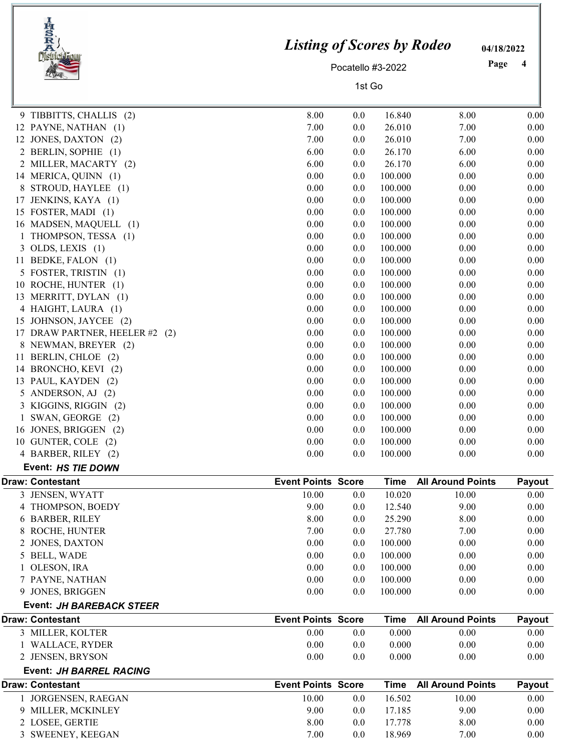| IRSRA                                         |                                   |                   |                       |                          |                |
|-----------------------------------------------|-----------------------------------|-------------------|-----------------------|--------------------------|----------------|
| <b>District For</b>                           | <b>Listing of Scores by Rodeo</b> |                   |                       |                          | 04/18/2022     |
|                                               |                                   | Pocatello #3-2022 |                       |                          | Page<br>4      |
|                                               |                                   | 1st Go            |                       |                          |                |
| 9 TIBBITTS, CHALLIS (2)                       | 8.00                              | 0.0               | 16.840                | 8.00                     | 0.00           |
| 12 PAYNE, NATHAN (1)                          | 7.00                              | 0.0               | 26.010                | 7.00                     | 0.00           |
| 12 JONES, DAXTON (2)                          | 7.00                              | 0.0               | 26.010                | 7.00                     | 0.00           |
| 2 BERLIN, SOPHIE (1)                          | 6.00                              | 0.0               | 26.170                | 6.00                     | 0.00           |
| 2 MILLER, MACARTY (2)                         | 6.00                              | 0.0               | 26.170                | 6.00                     | 0.00           |
| 14 MERICA, QUINN (1)                          | 0.00                              | 0.0               | 100.000               | 0.00                     | 0.00           |
| STROUD, HAYLEE (1)<br>8                       | 0.00                              | 0.0               | 100.000               | 0.00                     | 0.00           |
| JENKINS, KAYA (1)<br>17                       | 0.00                              | 0.0               | 100.000               | 0.00                     | 0.00           |
| 15 FOSTER, MADI (1)                           | 0.00                              | 0.0               | 100.000               | 0.00                     | 0.00           |
| 16 MADSEN, MAQUELL (1)                        | 0.00                              | 0.0               | 100.000               | 0.00                     | 0.00           |
| THOMPSON, TESSA (1)                           | 0.00                              | 0.0               | 100.000               | 0.00                     | 0.00           |
| $3$ OLDS, LEXIS $(1)$                         | 0.00                              | 0.0               | 100.000               | 0.00                     | 0.00           |
| 11 BEDKE, FALON (1)                           | 0.00                              | 0.0               | 100.000               | 0.00                     | 0.00           |
| 5 FOSTER, TRISTIN (1)                         | 0.00                              | 0.0               | 100.000               | 0.00                     | 0.00           |
| 10 ROCHE, HUNTER (1)                          | 0.00                              | 0.0               | 100.000               | 0.00                     | 0.00           |
| 13 MERRITT, DYLAN (1)                         | 0.00                              | 0.0               | 100.000               | 0.00                     | 0.00           |
| 4 HAIGHT, LAURA (1)                           | 0.00                              | 0.0               | 100.000               | 0.00                     | 0.00           |
| 15 JOHNSON, JAYCEE (2)                        | 0.00                              | 0.0               | 100.000               | 0.00                     | 0.00           |
| 17 DRAW PARTNER, HEELER #2 (2)                | 0.00                              | 0.0               | 100.000               | 0.00                     | 0.00           |
| 8 NEWMAN, BREYER (2)                          | 0.00                              | 0.0               | 100.000               | 0.00                     | 0.00           |
| 11 BERLIN, CHLOE (2)                          | 0.00                              | 0.0               | 100.000               | 0.00                     | 0.00           |
| 14 BRONCHO, KEVI (2)                          | 0.00                              | 0.0               | 100.000               | 0.00                     | 0.00           |
| 13 PAUL, KAYDEN (2)                           | 0.00                              | 0.0               | 100.000               | 0.00                     | 0.00           |
| 5 ANDERSON, AJ (2)                            | 0.00                              | 0.0               | 100.000               | 0.00                     | 0.00           |
| 3 KIGGINS, RIGGIN (2)                         | 0.00                              | 0.0               | 100.000               | 0.00                     | 0.00           |
| SWAN, GEORGE (2)                              | 0.00                              | 0.0               | 100.000               | 0.00                     | 0.00           |
| 16 JONES, BRIGGEN (2)                         | 0.00                              | 0.0               | 100.000               | 0.00                     | 0.00           |
| 10 GUNTER, COLE (2)                           | 0.00                              | 0.0               | 100.000               | 0.00                     | $0.00\,$       |
| 4 BARBER, RILEY (2)                           | 0.00                              | 0.0               | 100.000               | 0.00                     | $0.00\,$       |
| Event: HS TIE DOWN<br><b>Draw: Contestant</b> | <b>Event Points Score</b>         |                   |                       | <b>All Around Points</b> |                |
| 3 JENSEN, WYATT                               | 10.00                             | 0.0               | <b>Time</b><br>10.020 | 10.00                    | Payout<br>0.00 |
| THOMPSON, BOEDY<br>4                          | 9.00                              | 0.0               | 12.540                | 9.00                     | $0.00\,$       |
| 6 BARBER, RILEY                               | 8.00                              | 0.0               | 25.290                | 8.00                     | 0.00           |
| <b>ROCHE, HUNTER</b><br>8                     | 7.00                              | 0.0               | 27.780                | 7.00                     | $0.00\,$       |
| JONES, DAXTON                                 | 0.00                              | 0.0               | 100.000               | 0.00                     | 0.00           |
| 5 BELL, WADE                                  | 0.00                              | 0.0               | 100.000               | 0.00                     | 0.00           |
| OLESON, IRA                                   | 0.00                              | 0.0               | 100.000               | 0.00                     | 0.00           |
| 7 PAYNE, NATHAN                               | 0.00                              | 0.0               | 100.000               | 0.00                     | $0.00\,$       |
| 9 JONES, BRIGGEN                              | 0.00                              | 0.0               | 100.000               | 0.00                     | $0.00\,$       |
| Event: JH BAREBACK STEER                      |                                   |                   |                       |                          |                |
| <b>Draw: Contestant</b>                       | <b>Event Points Score</b>         |                   | <b>Time</b>           | <b>All Around Points</b> | Payout         |
| 3 MILLER, KOLTER                              | 0.00                              | 0.0               | 0.000                 | 0.00                     | $0.00\,$       |
| 1 WALLACE, RYDER                              | 0.00                              | 0.0               | 0.000                 | 0.00                     | $0.00\,$       |
| 2 JENSEN, BRYSON                              | 0.00                              | 0.0               | 0.000                 | 0.00                     | $0.00\,$       |
| <b>Event: JH BARREL RACING</b>                |                                   |                   |                       |                          |                |
| <b>Draw: Contestant</b>                       | <b>Event Points Score</b>         |                   | <b>Time</b>           | <b>All Around Points</b> | Payout         |
| <b>JORGENSEN, RAEGAN</b>                      | 10.00                             | 0.0               | 16.502                | 10.00                    | $0.00\,$       |
| 9 MILLER, MCKINLEY                            | 9.00                              | 0.0               | 17.185                | 9.00                     | $0.00\,$       |
| 2 LOSEE, GERTIE                               | 8.00                              | 0.0               | 17.778                | 8.00                     | $0.00\,$       |
| 3 SWEENEY, KEEGAN                             | 7.00                              | 0.0               | 18.969                | 7.00                     | 0.00           |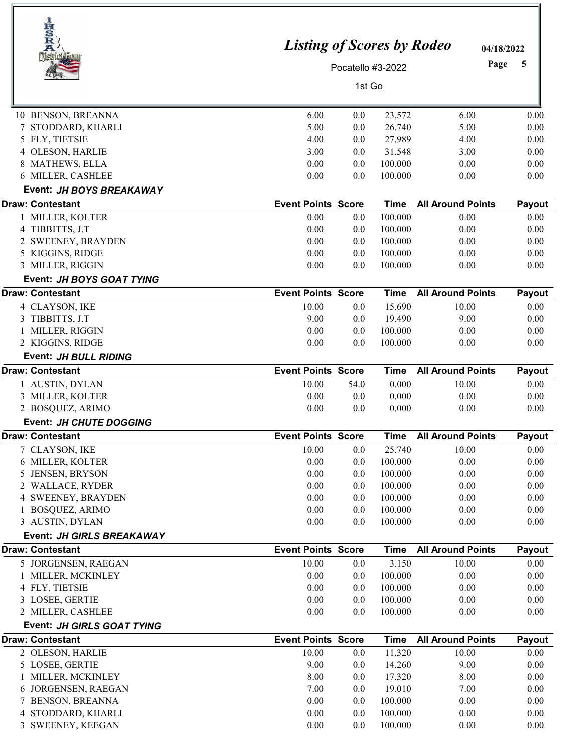| <b>HSRA</b>                            |                                   |                   |                    |                          |                |
|----------------------------------------|-----------------------------------|-------------------|--------------------|--------------------------|----------------|
| <b>District Fo</b>                     | <b>Listing of Scores by Rodeo</b> |                   | 04/18/2022         |                          |                |
|                                        |                                   | Pocatello #3-2022 |                    | Page                     | 5              |
|                                        |                                   | 1st Go            |                    |                          |                |
| 10 BENSON, BREANNA                     | 6.00                              | $0.0\,$           | 23.572             | 6.00                     | 0.00           |
| STODDARD, KHARLI                       | 5.00                              | 0.0               | 26.740             | 5.00                     | 0.00           |
| FLY, TIETSIE<br>5                      | 4.00                              | $0.0\,$           | 27.989             | 4.00                     | 0.00           |
| 4 OLESON, HARLIE                       | 3.00                              | 0.0               | 31.548             | 3.00                     | 0.00           |
| 8 MATHEWS, ELLA                        | 0.00                              | 0.0               | 100.000            | 0.00                     | 0.00           |
| 6 MILLER, CASHLEE                      | 0.00                              | 0.0               | 100.000            | 0.00                     | 0.00           |
| Event: JH BOYS BREAKAWAY               |                                   |                   |                    |                          |                |
| <b>Draw: Contestant</b>                | <b>Event Points Score</b>         |                   | <b>Time</b>        | <b>All Around Points</b> | Payout<br>0.00 |
| 1 MILLER, KOLTER<br>4 TIBBITTS, J.T    | 0.00<br>0.00                      | 0.0<br>0.0        | 100.000<br>100.000 | 0.00<br>0.00             | 0.00           |
| SWEENEY, BRAYDEN                       | 0.00                              | 0.0               | 100.000            | 0.00                     | 0.00           |
| 5 KIGGINS, RIDGE                       | 0.00                              | 0.0               | 100.000            | 0.00                     | 0.00           |
| 3 MILLER, RIGGIN                       | 0.00                              | 0.0               | 100.000            | 0.00                     | 0.00           |
| Event: JH BOYS GOAT TYING              |                                   |                   |                    |                          |                |
| <b>Draw: Contestant</b>                | <b>Event Points Score</b>         |                   | <b>Time</b>        | <b>All Around Points</b> | Payout         |
| 4 CLAYSON, IKE                         | 10.00                             | 0.0               | 15.690             | 10.00                    | 0.00           |
| 3 TIBBITTS, J.T                        | 9.00                              | 0.0               | 19.490             | 9.00                     | 0.00           |
| 1 MILLER, RIGGIN                       | 0.00                              | 0.0               | 100.000            | 0.00                     | 0.00           |
| 2 KIGGINS, RIDGE                       | 0.00                              | 0.0               | 100.000            | 0.00                     | 0.00           |
| Event: JH BULL RIDING                  |                                   |                   |                    |                          |                |
| <b>Draw: Contestant</b>                | <b>Event Points Score</b>         |                   | <b>Time</b>        | <b>All Around Points</b> | Payout         |
| 1 AUSTIN, DYLAN                        | 10.00                             | 54.0              | 0.000              | 10.00                    | 0.00           |
| 3 MILLER, KOLTER                       | 0.00                              | 0.0               | 0.000              | 0.00                     | 0.00           |
| 2 BOSQUEZ, ARIMO                       | 0.00                              | 0.0               | 0.000              | 0.00                     | 0.00           |
| Event: JH CHUTE DOGGING                |                                   |                   |                    |                          |                |
| <b>Draw: Contestant</b>                | <b>Event Points Score</b>         |                   | Time               | <b>All Around Points</b> | Payout         |
| 7 CLAYSON, IKE                         | 10.00                             | 0.0               | 25.740             | 10.00                    | $0.00\,$       |
| 6 MILLER, KOLTER                       | 0.00                              | $0.0\,$           | 100.000            | 0.00                     | 0.00           |
| 5 JENSEN, BRYSON                       | 0.00                              | $0.0\,$           | 100.000            | 0.00                     | 0.00           |
| 2 WALLACE, RYDER                       | 0.00<br>0.00                      | $0.0\,$           | 100.000<br>100.000 | 0.00                     | 0.00<br>0.00   |
| 4 SWEENEY, BRAYDEN<br>1 BOSQUEZ, ARIMO | 0.00                              | 0.0<br>0.0        | 100.000            | 0.00<br>0.00             | 0.00           |
| 3 AUSTIN, DYLAN                        | 0.00                              | 0.0               | 100.000            | 0.00                     | 0.00           |
| Event: JH GIRLS BREAKAWAY              |                                   |                   |                    |                          |                |
| <b>Draw: Contestant</b>                | <b>Event Points Score</b>         |                   | <b>Time</b>        | <b>All Around Points</b> | Payout         |
| 5 JORGENSEN, RAEGAN                    | 10.00                             | $0.0\,$           | 3.150              | 10.00                    | 0.00           |
| 1 MILLER, MCKINLEY                     | 0.00                              | 0.0               | 100.000            | 0.00                     | 0.00           |
| 4 FLY, TIETSIE                         | 0.00                              | 0.0               | 100.000            | 0.00                     | 0.00           |
| 3 LOSEE, GERTIE                        | 0.00                              | $0.0\,$           | 100.000            | 0.00                     | 0.00           |
| 2 MILLER, CASHLEE                      | 0.00                              | 0.0               | 100.000            | 0.00                     | 0.00           |
| Event: JH GIRLS GOAT TYING             |                                   |                   |                    |                          |                |
| <b>Draw: Contestant</b>                | <b>Event Points Score</b>         |                   | <b>Time</b>        | <b>All Around Points</b> | Payout         |
| 2 OLESON, HARLIE                       | 10.00                             | $0.0\,$           | 11.320             | 10.00                    | 0.00           |
| 5 LOSEE, GERTIE                        | 9.00                              | 0.0               | 14.260             | 9.00                     | 0.00           |
| 1 MILLER, MCKINLEY                     | 8.00                              | 0.0               | 17.320             | 8.00                     | 0.00           |
| 6 JORGENSEN, RAEGAN                    | 7.00                              | 0.0               | 19.010             | 7.00                     | 0.00           |
| <b>BENSON, BREANNA</b><br>7            | 0.00                              | 0.0               | 100.000            | 0.00                     | 0.00           |
| 4 STODDARD, KHARLI                     | 0.00                              | 0.0               | 100.000            | 0.00                     | 0.00           |
| 3 SWEENEY, KEEGAN                      | 0.00                              | 0.0               | 100.000            | 0.00                     | 0.00           |